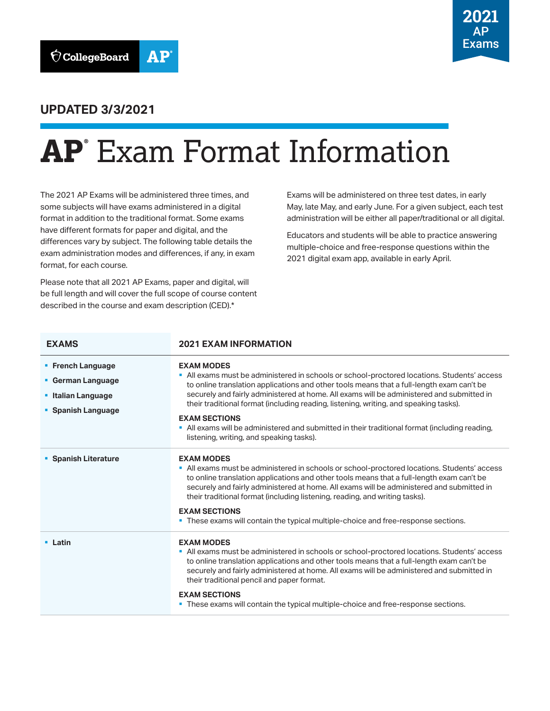

## **UPDATED 3/3/2021**

# **AP®** Exam Format Information

The 2021 AP Exams will be administered three times, and some subjects will have exams administered in a digital format in addition to the traditional format. Some exams have different formats for paper and digital, and the differences vary by subject. The following table details the exam administration modes and differences, if any, in exam format, for each course.

Please note that all 2021 AP Exams, paper and digital, will be full length and will cover the full scope of course content described in the course and exam description (CED).\*

Exams will be administered on three test dates, in early May, late May, and early June. For a given subject, each test administration will be either all paper/traditional or all digital.

Educators and students will be able to practice answering multiple-choice and free-response questions within the 2021 digital exam app, available in early April.

| <b>EXAMS</b>                                                                              | <b>2021 EXAM INFORMATION</b>                                                                                                                                                                                                                                                                                                                                                                                                                                                                                                                                                 |
|-------------------------------------------------------------------------------------------|------------------------------------------------------------------------------------------------------------------------------------------------------------------------------------------------------------------------------------------------------------------------------------------------------------------------------------------------------------------------------------------------------------------------------------------------------------------------------------------------------------------------------------------------------------------------------|
| • French Language<br>• German Language<br><b>• Italian Language</b><br>• Spanish Language | <b>EXAM MODES</b><br>• All exams must be administered in schools or school-proctored locations. Students' access<br>to online translation applications and other tools means that a full-length exam can't be<br>securely and fairly administered at home. All exams will be administered and submitted in<br>their traditional format (including reading, listening, writing, and speaking tasks).<br><b>EXAM SECTIONS</b><br>All exams will be administered and submitted in their traditional format (including reading,<br>п<br>listening, writing, and speaking tasks). |
| • Spanish Literature                                                                      | <b>EXAM MODES</b><br>• All exams must be administered in schools or school-proctored locations. Students' access<br>to online translation applications and other tools means that a full-length exam can't be<br>securely and fairly administered at home. All exams will be administered and submitted in<br>their traditional format (including listening, reading, and writing tasks).<br><b>EXAM SECTIONS</b><br>• These exams will contain the typical multiple-choice and free-response sections.                                                                      |
| • Latin                                                                                   | <b>EXAM MODES</b><br>All exams must be administered in schools or school-proctored locations. Students' access<br>to online translation applications and other tools means that a full-length exam can't be<br>securely and fairly administered at home. All exams will be administered and submitted in<br>their traditional pencil and paper format.<br><b>EXAM SECTIONS</b><br>. These exams will contain the typical multiple-choice and free-response sections.                                                                                                         |
|                                                                                           |                                                                                                                                                                                                                                                                                                                                                                                                                                                                                                                                                                              |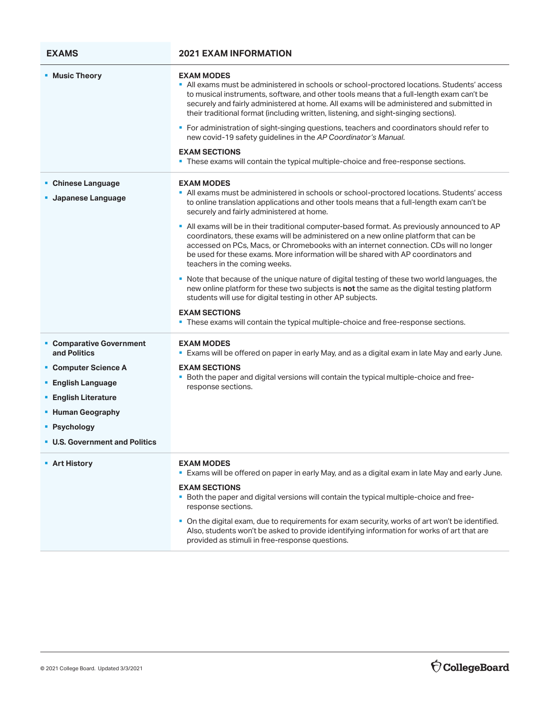| <b>EXAMS</b>                                                                 | <b>2021 EXAM INFORMATION</b>                                                                                                                                                                                                                                                                                                                                                                        |
|------------------------------------------------------------------------------|-----------------------------------------------------------------------------------------------------------------------------------------------------------------------------------------------------------------------------------------------------------------------------------------------------------------------------------------------------------------------------------------------------|
| <b>• Music Theory</b>                                                        | <b>EXAM MODES</b><br>All exams must be administered in schools or school-proctored locations. Students' access<br>to musical instruments, software, and other tools means that a full-length exam can't be<br>securely and fairly administered at home. All exams will be administered and submitted in<br>their traditional format (including written, listening, and sight-singing sections).     |
|                                                                              | • For administration of sight-singing questions, teachers and coordinators should refer to<br>new covid-19 safety guidelines in the AP Coordinator's Manual.                                                                                                                                                                                                                                        |
|                                                                              | <b>EXAM SECTIONS</b><br>. These exams will contain the typical multiple-choice and free-response sections.                                                                                                                                                                                                                                                                                          |
| • Chinese Language<br><b>Japanese Language</b>                               | <b>EXAM MODES</b><br>All exams must be administered in schools or school-proctored locations. Students' access<br>to online translation applications and other tools means that a full-length exam can't be<br>securely and fairly administered at home.                                                                                                                                            |
|                                                                              | " All exams will be in their traditional computer-based format. As previously announced to AP<br>coordinators, these exams will be administered on a new online platform that can be<br>accessed on PCs, Macs, or Chromebooks with an internet connection. CDs will no longer<br>be used for these exams. More information will be shared with AP coordinators and<br>teachers in the coming weeks. |
|                                                                              | • Note that because of the unique nature of digital testing of these two world languages, the<br>new online platform for these two subjects is not the same as the digital testing platform<br>students will use for digital testing in other AP subjects.                                                                                                                                          |
|                                                                              | <b>EXAM SECTIONS</b><br>. These exams will contain the typical multiple-choice and free-response sections.                                                                                                                                                                                                                                                                                          |
| • Comparative Government<br>and Politics                                     | <b>EXAM MODES</b><br>. Exams will be offered on paper in early May, and as a digital exam in late May and early June.                                                                                                                                                                                                                                                                               |
| • Computer Science A<br><b>English Language</b><br><b>English Literature</b> | <b>EXAM SECTIONS</b><br>- Both the paper and digital versions will contain the typical multiple-choice and free-<br>response sections.                                                                                                                                                                                                                                                              |
| • Human Geography                                                            |                                                                                                                                                                                                                                                                                                                                                                                                     |
| <b>• Psychology</b>                                                          |                                                                                                                                                                                                                                                                                                                                                                                                     |
| • U.S. Government and Politics                                               |                                                                                                                                                                                                                                                                                                                                                                                                     |
| <b>Art History</b>                                                           | <b>EXAM MODES</b><br>" Exams will be offered on paper in early May, and as a digital exam in late May and early June.                                                                                                                                                                                                                                                                               |
|                                                                              | <b>EXAM SECTIONS</b><br>. Both the paper and digital versions will contain the typical multiple-choice and free-<br>response sections.                                                                                                                                                                                                                                                              |
|                                                                              | • On the digital exam, due to requirements for exam security, works of art won't be identified.<br>Also, students won't be asked to provide identifying information for works of art that are<br>provided as stimuli in free-response questions.                                                                                                                                                    |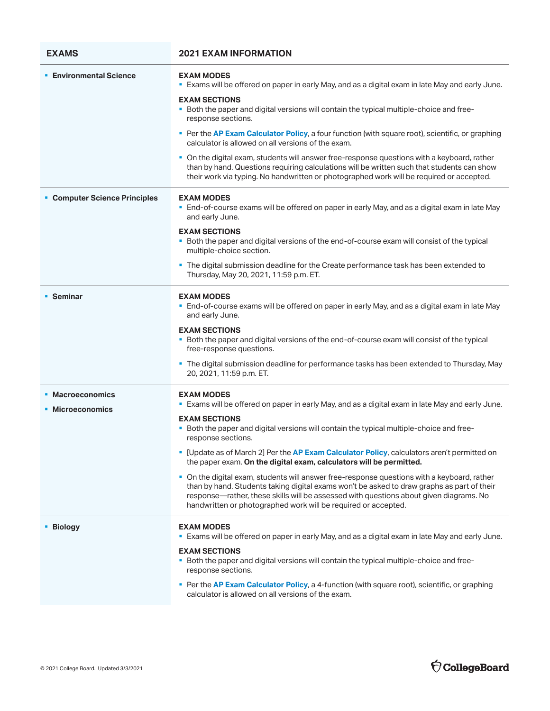| <b>EXAMS</b>                         | <b>2021 EXAM INFORMATION</b>                                                                                                                                                                                                                                                                                                                                                                                                                                                                                                                                                                                                                                                                                                                                                                      |
|--------------------------------------|---------------------------------------------------------------------------------------------------------------------------------------------------------------------------------------------------------------------------------------------------------------------------------------------------------------------------------------------------------------------------------------------------------------------------------------------------------------------------------------------------------------------------------------------------------------------------------------------------------------------------------------------------------------------------------------------------------------------------------------------------------------------------------------------------|
| <b>Environmental Science</b>         | <b>EXAM MODES</b><br><b>Exams will be offered on paper in early May, and as a digital exam in late May and early June.</b><br><b>EXAM SECTIONS</b><br>. Both the paper and digital versions will contain the typical multiple-choice and free-<br>response sections.<br>Per the AP Exam Calculator Policy, a four function (with square root), scientific, or graphing<br>calculator is allowed on all versions of the exam.<br>• On the digital exam, students will answer free-response questions with a keyboard, rather<br>than by hand. Questions requiring calculations will be written such that students can show<br>their work via typing. No handwritten or photographed work will be required or accepted.                                                                             |
| • Computer Science Principles        | <b>EXAM MODES</b><br>• End-of-course exams will be offered on paper in early May, and as a digital exam in late May<br>and early June.<br><b>EXAM SECTIONS</b><br>• Both the paper and digital versions of the end-of-course exam will consist of the typical<br>multiple-choice section.<br>. The digital submission deadline for the Create performance task has been extended to<br>Thursday, May 20, 2021, 11:59 p.m. ET.                                                                                                                                                                                                                                                                                                                                                                     |
| <b>Seminar</b>                       | <b>EXAM MODES</b><br>• End-of-course exams will be offered on paper in early May, and as a digital exam in late May<br>and early June.<br><b>EXAM SECTIONS</b><br>• Both the paper and digital versions of the end-of-course exam will consist of the typical<br>free-response questions.<br>The digital submission deadline for performance tasks has been extended to Thursday, May<br>20, 2021, 11:59 p.m. ET.                                                                                                                                                                                                                                                                                                                                                                                 |
| • Macroeconomics<br>• Microeconomics | <b>EXAM MODES</b><br><b>Exams will be offered on paper in early May, and as a digital exam in late May and early June.</b><br><b>EXAM SECTIONS</b><br>. Both the paper and digital versions will contain the typical multiple-choice and free-<br>response sections.<br>[Update as of March 2] Per the AP Exam Calculator Policy, calculators aren't permitted on<br>the paper exam. On the digital exam, calculators will be permitted.<br>. On the digital exam, students will answer free-response questions with a keyboard, rather<br>than by hand. Students taking digital exams won't be asked to draw graphs as part of their<br>response—rather, these skills will be assessed with questions about given diagrams. No<br>handwritten or photographed work will be required or accepted. |
| <b>Biology</b>                       | <b>EXAM MODES</b><br>. Exams will be offered on paper in early May, and as a digital exam in late May and early June.<br><b>EXAM SECTIONS</b><br>- Both the paper and digital versions will contain the typical multiple-choice and free-<br>response sections.<br>Per the AP Exam Calculator Policy, a 4-function (with square root), scientific, or graphing<br>calculator is allowed on all versions of the exam.                                                                                                                                                                                                                                                                                                                                                                              |

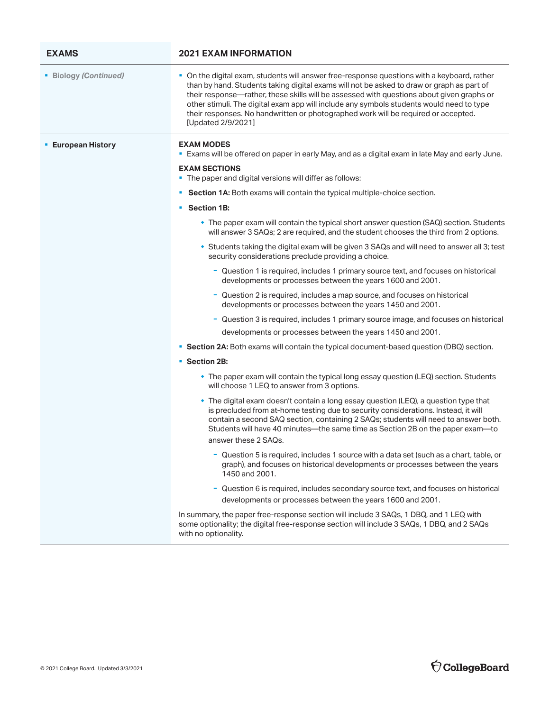| <b>EXAMS</b>               | <b>2021 EXAM INFORMATION</b>                                                                                                                                                                                                                                                                                                                                                                                                                                                                  |
|----------------------------|-----------------------------------------------------------------------------------------------------------------------------------------------------------------------------------------------------------------------------------------------------------------------------------------------------------------------------------------------------------------------------------------------------------------------------------------------------------------------------------------------|
| <b>Biology (Continued)</b> | • On the digital exam, students will answer free-response questions with a keyboard, rather<br>than by hand. Students taking digital exams will not be asked to draw or graph as part of<br>their response-rather, these skills will be assessed with questions about given graphs or<br>other stimuli. The digital exam app will include any symbols students would need to type<br>their responses. No handwritten or photographed work will be required or accepted.<br>[Updated 2/9/2021] |
| <b>European History</b>    | <b>EXAM MODES</b><br>" Exams will be offered on paper in early May, and as a digital exam in late May and early June.<br><b>EXAM SECTIONS</b><br>• The paper and digital versions will differ as follows:                                                                                                                                                                                                                                                                                     |
|                            |                                                                                                                                                                                                                                                                                                                                                                                                                                                                                               |
|                            | • Section 1A: Both exams will contain the typical multiple-choice section.<br><b>Section 1B:</b>                                                                                                                                                                                                                                                                                                                                                                                              |
|                            | П<br>• The paper exam will contain the typical short answer question (SAQ) section. Students<br>will answer 3 SAQs; 2 are required, and the student chooses the third from 2 options.                                                                                                                                                                                                                                                                                                         |
|                            | • Students taking the digital exam will be given 3 SAQs and will need to answer all 3; test<br>security considerations preclude providing a choice.                                                                                                                                                                                                                                                                                                                                           |
|                            | - Question 1 is required, includes 1 primary source text, and focuses on historical<br>developments or processes between the years 1600 and 2001.                                                                                                                                                                                                                                                                                                                                             |
|                            | - Question 2 is required, includes a map source, and focuses on historical<br>developments or processes between the years 1450 and 2001.                                                                                                                                                                                                                                                                                                                                                      |
|                            | - Question 3 is required, includes 1 primary source image, and focuses on historical                                                                                                                                                                                                                                                                                                                                                                                                          |
|                            | developments or processes between the years 1450 and 2001.                                                                                                                                                                                                                                                                                                                                                                                                                                    |
|                            | <b>Section 2A:</b> Both exams will contain the typical document-based question (DBQ) section.                                                                                                                                                                                                                                                                                                                                                                                                 |
|                            | • Section 2B:                                                                                                                                                                                                                                                                                                                                                                                                                                                                                 |
|                            | • The paper exam will contain the typical long essay question (LEQ) section. Students<br>will choose 1 LEQ to answer from 3 options.                                                                                                                                                                                                                                                                                                                                                          |
|                            | • The digital exam doesn't contain a long essay question (LEQ), a question type that<br>is precluded from at-home testing due to security considerations. Instead, it will<br>contain a second SAQ section, containing 2 SAQs; students will need to answer both.<br>Students will have 40 minutes—the same time as Section 2B on the paper exam—to<br>answer these 2 SAQs.                                                                                                                   |
|                            | - Question 5 is required, includes 1 source with a data set (such as a chart, table, or<br>graph), and focuses on historical developments or processes between the years<br>1450 and 2001.                                                                                                                                                                                                                                                                                                    |
|                            | - Question 6 is required, includes secondary source text, and focuses on historical                                                                                                                                                                                                                                                                                                                                                                                                           |
|                            | developments or processes between the years 1600 and 2001.                                                                                                                                                                                                                                                                                                                                                                                                                                    |
|                            | In summary, the paper free-response section will include 3 SAQs, 1 DBQ, and 1 LEQ with<br>some optionality; the digital free-response section will include 3 SAQs, 1 DBQ, and 2 SAQs<br>with no optionality.                                                                                                                                                                                                                                                                                  |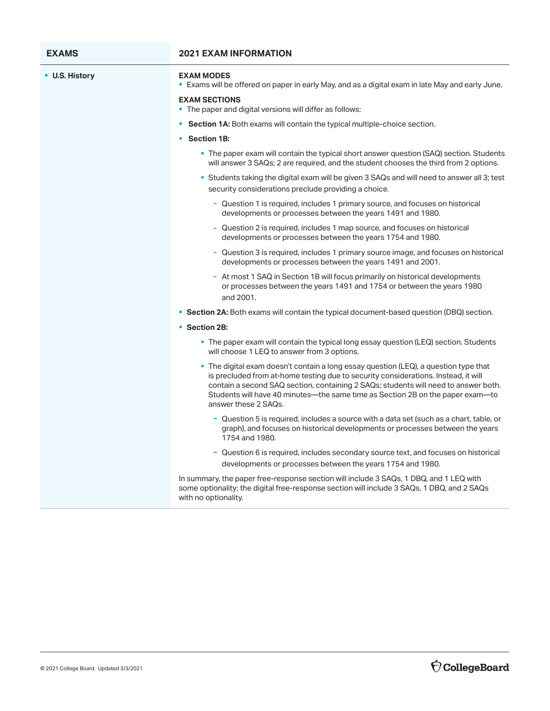### **EXAMS 2021 EXAM INFORMATION**

#### § **U.S. History EXAM MODES**

**Exams will be offered on paper in early May, and as a digital exam in late May and early June.** 

#### **EXAM SECTIONS**

- The paper and digital versions will differ as follows:
- § **Section 1A:** Both exams will contain the typical multiple-choice section.
- **Section 1B:** 
	- \* The paper exam will contain the typical short answer question (SAQ) section. Students will answer 3 SAQs; 2 are required, and the student chooses the third from 2 options.
	- w Students taking the digital exam will be given 3 SAQs and will need to answer all 3; test security considerations preclude providing a choice.
		- Question 1 is required, includes 1 primary source, and focuses on historical developments or processes between the years 1491 and 1980.
		- Question 2 is required, includes 1 map source, and focuses on historical developments or processes between the years 1754 and 1980.
		- Question 3 is required, includes 1 primary source image, and focuses on historical developments or processes between the years 1491 and 2001.
		- At most 1 SAQ in Section 1B will focus primarily on historical developments or processes between the years 1491 and 1754 or between the years 1980 and 2001.
- **Section 2A:** Both exams will contain the typical document-based question (DBQ) section.
- § **Section 2B:** 
	- $\bullet$  The paper exam will contain the typical long essay question (LEQ) section. Students will choose 1 LEQ to answer from 3 options.
	- The digital exam doesn't contain a long essay question (LEQ), a question type that is precluded from at-home testing due to security considerations. Instead, it will contain a second SAQ section, containing 2 SAQs; students will need to answer both. Students will have 40 minutes—the same time as Section 2B on the paper exam—to answer these 2 SAQs.
		- Question 5 is required, includes a source with a data set (such as a chart, table, or graph), and focuses on historical developments or processes between the years 1754 and 1980.
		- Question 6 is required, includes secondary source text, and focuses on historical developments or processes between the years 1754 and 1980.

In summary, the paper free-response section will include 3 SAQs, 1 DBQ, and 1 LEQ with some optionality; the digital free-response section will include 3 SAQs, 1 DBQ, and 2 SAQs with no optionality.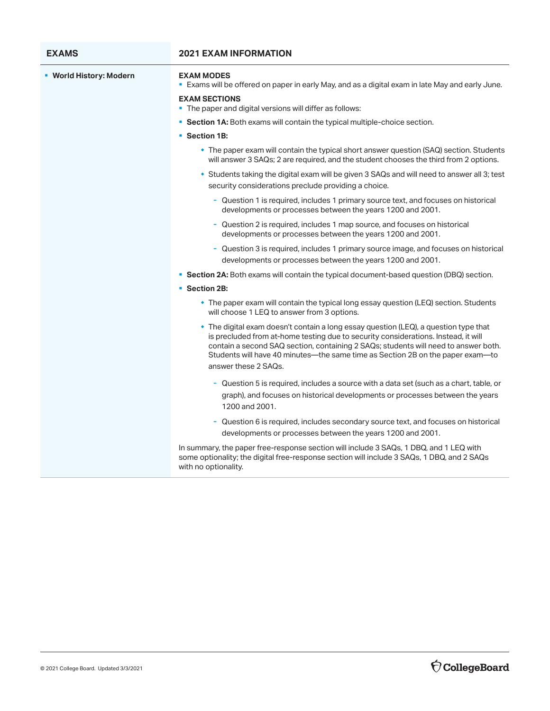## **EXAMS 2021 EXAM INFORMATION**

| • World History: Modern | <b>EXAM MODES</b><br>" Exams will be offered on paper in early May, and as a digital exam in late May and early June.                                                                                                                                                                                                                                                       |
|-------------------------|-----------------------------------------------------------------------------------------------------------------------------------------------------------------------------------------------------------------------------------------------------------------------------------------------------------------------------------------------------------------------------|
|                         | <b>EXAM SECTIONS</b><br>• The paper and digital versions will differ as follows:                                                                                                                                                                                                                                                                                            |
|                         | • Section 1A: Both exams will contain the typical multiple-choice section.                                                                                                                                                                                                                                                                                                  |
|                         | • Section 1B:                                                                                                                                                                                                                                                                                                                                                               |
|                         | • The paper exam will contain the typical short answer question (SAQ) section. Students<br>will answer 3 SAQs; 2 are required, and the student chooses the third from 2 options.                                                                                                                                                                                            |
|                         | • Students taking the digital exam will be given 3 SAQs and will need to answer all 3; test<br>security considerations preclude providing a choice.                                                                                                                                                                                                                         |
|                         | - Question 1 is required, includes 1 primary source text, and focuses on historical<br>developments or processes between the years 1200 and 2001.                                                                                                                                                                                                                           |
|                         | Question 2 is required, includes 1 map source, and focuses on historical<br>developments or processes between the years 1200 and 2001.                                                                                                                                                                                                                                      |
|                         | - Question 3 is required, includes 1 primary source image, and focuses on historical<br>developments or processes between the years 1200 and 2001.                                                                                                                                                                                                                          |
|                         | <b>Section 2A:</b> Both exams will contain the typical document-based question (DBQ) section.                                                                                                                                                                                                                                                                               |
|                         | • Section 2B:                                                                                                                                                                                                                                                                                                                                                               |
|                         | • The paper exam will contain the typical long essay question (LEQ) section. Students<br>will choose 1 LEQ to answer from 3 options.                                                                                                                                                                                                                                        |
|                         | • The digital exam doesn't contain a long essay question (LEQ), a question type that<br>is precluded from at-home testing due to security considerations. Instead, it will<br>contain a second SAQ section, containing 2 SAQs; students will need to answer both.<br>Students will have 40 minutes—the same time as Section 2B on the paper exam—to<br>answer these 2 SAQs. |
|                         | - Question 5 is required, includes a source with a data set (such as a chart, table, or<br>graph), and focuses on historical developments or processes between the years<br>1200 and 2001.                                                                                                                                                                                  |
|                         | - Question 6 is required, includes secondary source text, and focuses on historical<br>developments or processes between the years 1200 and 2001.                                                                                                                                                                                                                           |
|                         | In summary, the paper free-response section will include 3 SAQs, 1 DBQ, and 1 LEQ with<br>some optionality; the digital free-response section will include 3 SAQs, 1 DBQ, and 2 SAQs<br>with no optionality.                                                                                                                                                                |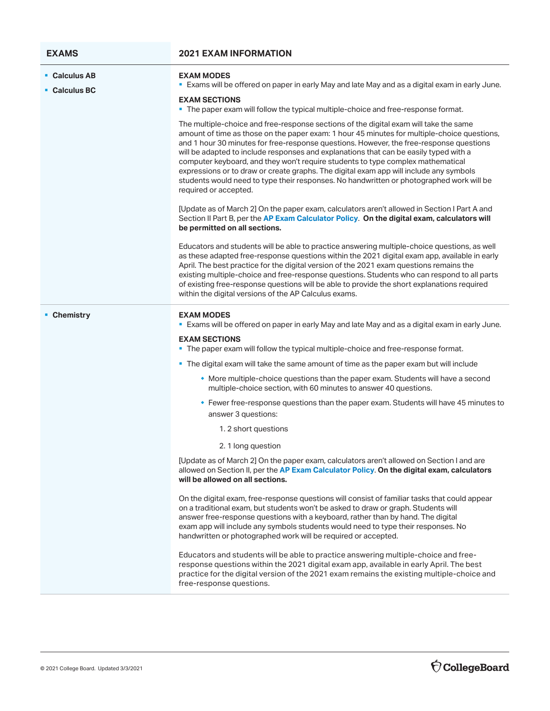| <b>EXAMS</b>                   | <b>2021 EXAM INFORMATION</b>                                                                                                                                                                                                                                                                                                                                                                                                                                                                                                                                                                                                                                               |
|--------------------------------|----------------------------------------------------------------------------------------------------------------------------------------------------------------------------------------------------------------------------------------------------------------------------------------------------------------------------------------------------------------------------------------------------------------------------------------------------------------------------------------------------------------------------------------------------------------------------------------------------------------------------------------------------------------------------|
| • Calculus AB<br>• Calculus BC | <b>EXAM MODES</b><br><b>Exams will be offered on paper in early May and late May and as a digital exam in early June.</b>                                                                                                                                                                                                                                                                                                                                                                                                                                                                                                                                                  |
|                                | <b>EXAM SECTIONS</b><br>• The paper exam will follow the typical multiple-choice and free-response format.                                                                                                                                                                                                                                                                                                                                                                                                                                                                                                                                                                 |
|                                | The multiple-choice and free-response sections of the digital exam will take the same<br>amount of time as those on the paper exam: 1 hour 45 minutes for multiple-choice questions,<br>and 1 hour 30 minutes for free-response questions. However, the free-response questions<br>will be adapted to include responses and explanations that can be easily typed with a<br>computer keyboard, and they won't require students to type complex mathematical<br>expressions or to draw or create graphs. The digital exam app will include any symbols<br>students would need to type their responses. No handwritten or photographed work will be<br>required or accepted. |
|                                | [Update as of March 2] On the paper exam, calculators aren't allowed in Section I Part A and<br>Section II Part B, per the AP Exam Calculator Policy. On the digital exam, calculators will<br>be permitted on all sections.                                                                                                                                                                                                                                                                                                                                                                                                                                               |
|                                | Educators and students will be able to practice answering multiple-choice questions, as well<br>as these adapted free-response questions within the 2021 digital exam app, available in early<br>April. The best practice for the digital version of the 2021 exam questions remains the<br>existing multiple-choice and free-response questions. Students who can respond to all parts<br>of existing free-response questions will be able to provide the short explanations required<br>within the digital versions of the AP Calculus exams.                                                                                                                            |
| • Chemistry                    | <b>EXAM MODES</b><br>. Exams will be offered on paper in early May and late May and as a digital exam in early June.                                                                                                                                                                                                                                                                                                                                                                                                                                                                                                                                                       |
|                                | <b>EXAM SECTIONS</b><br>. The paper exam will follow the typical multiple-choice and free-response format.                                                                                                                                                                                                                                                                                                                                                                                                                                                                                                                                                                 |
|                                | • The digital exam will take the same amount of time as the paper exam but will include                                                                                                                                                                                                                                                                                                                                                                                                                                                                                                                                                                                    |
|                                | • More multiple-choice questions than the paper exam. Students will have a second<br>multiple-choice section, with 60 minutes to answer 40 questions.                                                                                                                                                                                                                                                                                                                                                                                                                                                                                                                      |
|                                | • Fewer free-response questions than the paper exam. Students will have 45 minutes to<br>answer 3 questions:                                                                                                                                                                                                                                                                                                                                                                                                                                                                                                                                                               |
|                                | 1. 2 short questions                                                                                                                                                                                                                                                                                                                                                                                                                                                                                                                                                                                                                                                       |
|                                | 2. 1 long question                                                                                                                                                                                                                                                                                                                                                                                                                                                                                                                                                                                                                                                         |
|                                | [Update as of March 2] On the paper exam, calculators aren't allowed on Section I and are<br>allowed on Section II, per the AP Exam Calculator Policy. On the digital exam, calculators<br>will be allowed on all sections.                                                                                                                                                                                                                                                                                                                                                                                                                                                |
|                                | On the digital exam, free-response questions will consist of familiar tasks that could appear<br>on a traditional exam, but students won't be asked to draw or graph. Students will<br>answer free-response questions with a keyboard, rather than by hand. The digital<br>exam app will include any symbols students would need to type their responses. No<br>handwritten or photographed work will be required or accepted.                                                                                                                                                                                                                                             |
|                                | Educators and students will be able to practice answering multiple-choice and free-<br>response questions within the 2021 digital exam app, available in early April. The best<br>practice for the digital version of the 2021 exam remains the existing multiple-choice and<br>free-response questions.                                                                                                                                                                                                                                                                                                                                                                   |

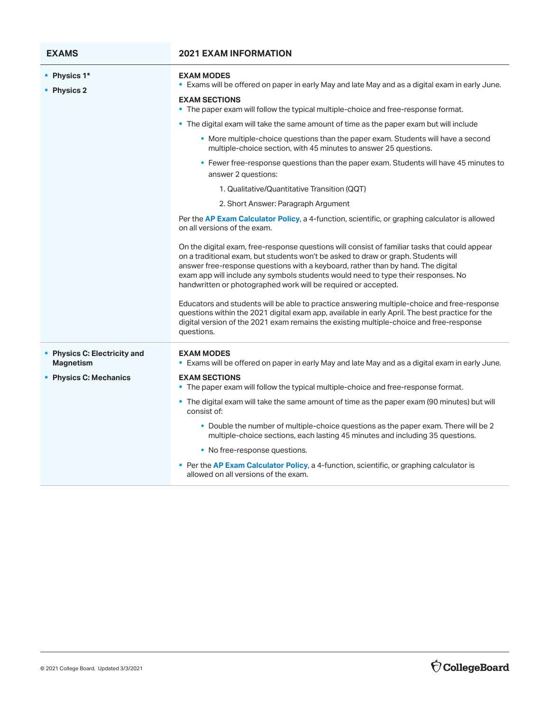| <b>EXAMS</b>                                     | <b>2021 EXAM INFORMATION</b>                                                                                                                                                                                                                                                                                                                                                                                                   |
|--------------------------------------------------|--------------------------------------------------------------------------------------------------------------------------------------------------------------------------------------------------------------------------------------------------------------------------------------------------------------------------------------------------------------------------------------------------------------------------------|
| • Physics 1*<br>• Physics 2                      | <b>EXAM MODES</b><br>" Exams will be offered on paper in early May and late May and as a digital exam in early June.                                                                                                                                                                                                                                                                                                           |
|                                                  | <b>EXAM SECTIONS</b><br>• The paper exam will follow the typical multiple-choice and free-response format.                                                                                                                                                                                                                                                                                                                     |
|                                                  | • The digital exam will take the same amount of time as the paper exam but will include                                                                                                                                                                                                                                                                                                                                        |
|                                                  | • More multiple-choice questions than the paper exam. Students will have a second<br>multiple-choice section, with 45 minutes to answer 25 questions.                                                                                                                                                                                                                                                                          |
|                                                  | • Fewer free-response questions than the paper exam. Students will have 45 minutes to<br>answer 2 questions:                                                                                                                                                                                                                                                                                                                   |
|                                                  | 1. Qualitative/Quantitative Transition (QQT)                                                                                                                                                                                                                                                                                                                                                                                   |
|                                                  | 2. Short Answer: Paragraph Argument                                                                                                                                                                                                                                                                                                                                                                                            |
|                                                  | Per the AP Exam Calculator Policy, a 4-function, scientific, or graphing calculator is allowed<br>on all versions of the exam.                                                                                                                                                                                                                                                                                                 |
|                                                  | On the digital exam, free-response questions will consist of familiar tasks that could appear<br>on a traditional exam, but students won't be asked to draw or graph. Students will<br>answer free-response questions with a keyboard, rather than by hand. The digital<br>exam app will include any symbols students would need to type their responses. No<br>handwritten or photographed work will be required or accepted. |
|                                                  | Educators and students will be able to practice answering multiple-choice and free-response<br>questions within the 2021 digital exam app, available in early April. The best practice for the<br>digital version of the 2021 exam remains the existing multiple-choice and free-response<br>questions.                                                                                                                        |
| • Physics C: Electricity and<br><b>Magnetism</b> | <b>EXAM MODES</b><br>" Exams will be offered on paper in early May and late May and as a digital exam in early June.                                                                                                                                                                                                                                                                                                           |
| • Physics C: Mechanics                           | <b>EXAM SECTIONS</b><br>. The paper exam will follow the typical multiple-choice and free-response format.                                                                                                                                                                                                                                                                                                                     |
|                                                  | • The digital exam will take the same amount of time as the paper exam (90 minutes) but will<br>consist of:                                                                                                                                                                                                                                                                                                                    |
|                                                  | • Double the number of multiple-choice questions as the paper exam. There will be 2<br>multiple-choice sections, each lasting 45 minutes and including 35 questions.                                                                                                                                                                                                                                                           |
|                                                  | • No free-response questions.                                                                                                                                                                                                                                                                                                                                                                                                  |
|                                                  | Per the AP Exam Calculator Policy, a 4-function, scientific, or graphing calculator is<br>allowed on all versions of the exam.                                                                                                                                                                                                                                                                                                 |